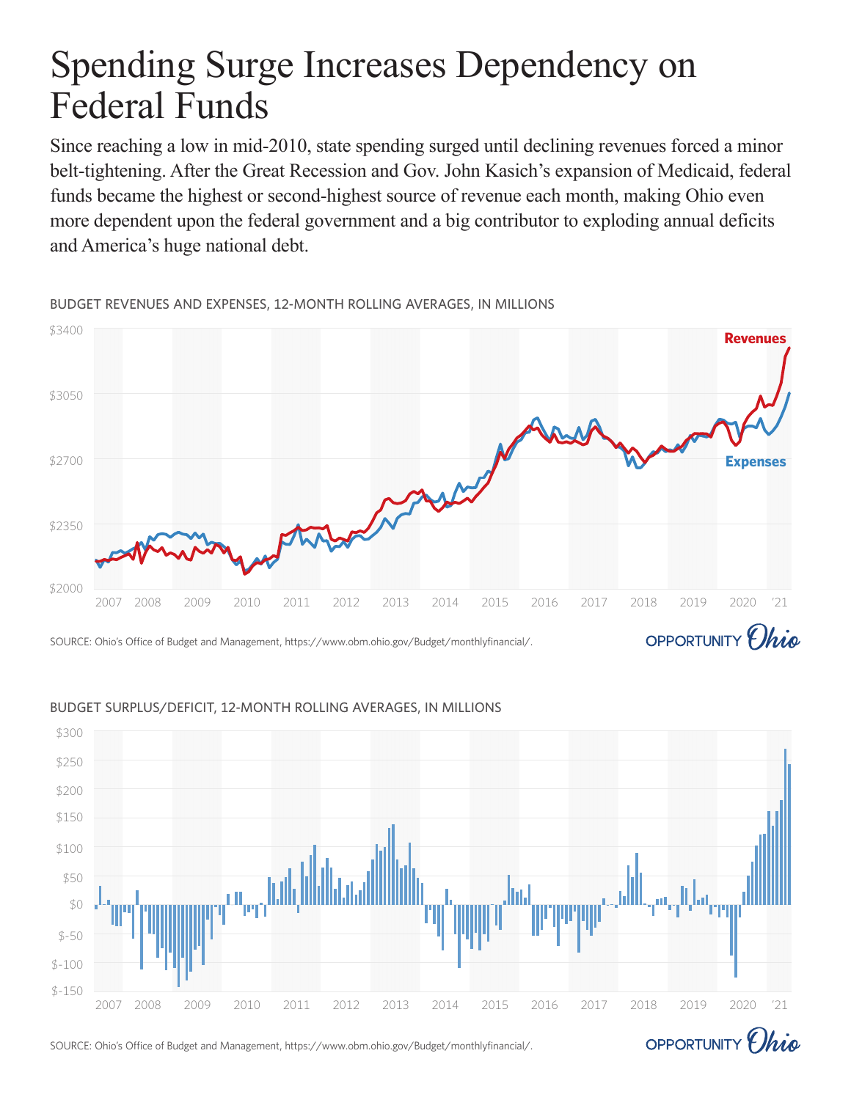# Spending Surge Increases Dependency on Federal Funds

Since reaching a low in mid-2010, state spending surged until declining revenues forced a minor belt-tightening. After the Great Recession and Gov. John Kasich's expansion of Medicaid, federal funds became the highest or second-highest source of revenue each month, making Ohio even more dependent upon the federal government and a big contributor to exploding annual deficits and America's huge national debt.

\$3400 **Revenues** \$3050 \$2700 **Expenses**\$2350 \$2000 2007 2008 2009 2010 2011 2012 2013 2014 2015 2016 2017 2018 2019 2020 '21 OPPORTUNITY *Ohio* SOURCE: Ohio's Office of Budget and Management, https://www.obm.ohio.gov/Budget/monthlyfinancial/.

BUDGET REVENUES AND EXPENSES, 12-MONTH ROLLING AVERAGES, IN MILLIONS



### BUDGET SURPLUS/DEFICIT, 12-MONTH ROLLING AVERAGES, IN MILLIONS

SOURCE: Ohio's Office of Budget and Management, https://www.obm.ohio.gov/Budget/monthlyfinancial/.